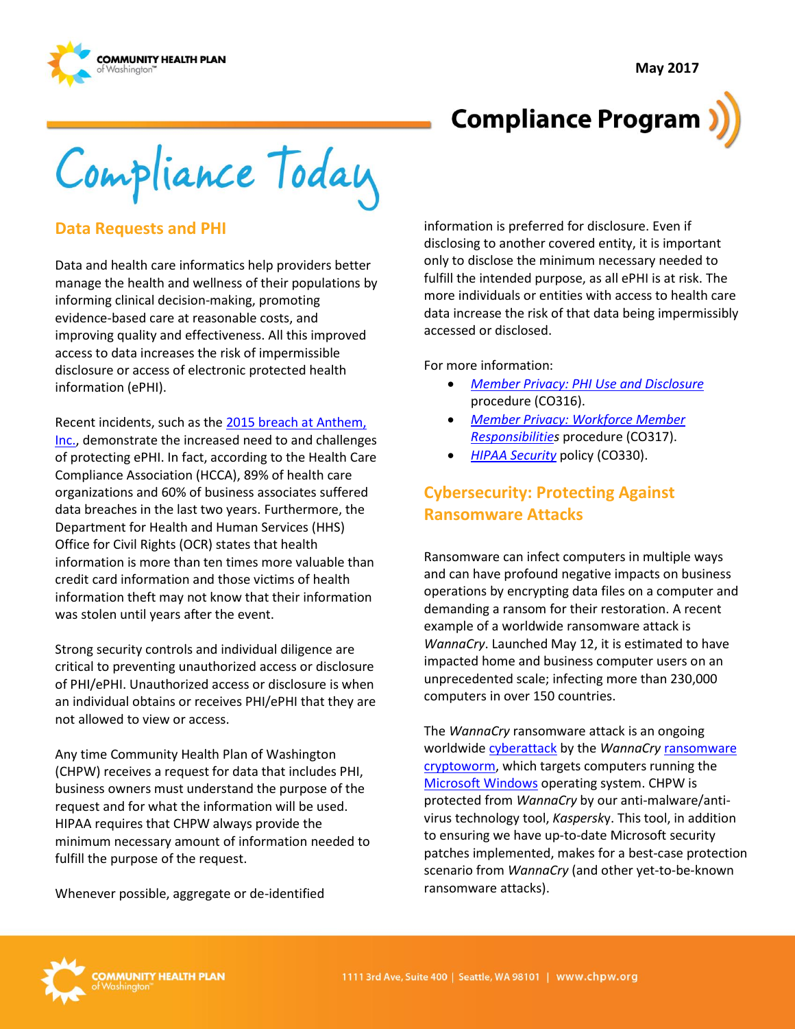**May 2017**



# **Compliance Program**

Compliance Today

#### **Data Requests and PHI**

Data and health care informatics help providers better manage the health and wellness of their populations by informing clinical decision-making, promoting evidence-based care at reasonable costs, and improving quality and effectiveness. All this improved access to data increases the risk of impermissible disclosure or access of electronic protected health information (ePHI).

Recent incidents, such as the [2015 breach at Anthem,](https://www.usatoday.com/story/tech/2015/02/04/health-care-anthem-hacked/22900925/)  [Inc.,](https://www.usatoday.com/story/tech/2015/02/04/health-care-anthem-hacked/22900925/) demonstrate the increased need to and challenges of protecting ePHI. In fact, according to the Health Care Compliance Association (HCCA), 89% of health care organizations and 60% of business associates suffered data breaches in the last two years. Furthermore, the Department for Health and Human Services (HHS) Office for Civil Rights (OCR) states that health information is more than ten times more valuable than credit card information and those victims of health information theft may not know that their information was stolen until years after the event.

Strong security controls and individual diligence are critical to preventing unauthorized access or disclosure of PHI/ePHI. Unauthorized access or disclosure is when an individual obtains or receives PHI/ePHI that they are not allowed to view or access.

Any time Community Health Plan of Washington (CHPW) receives a request for data that includes PHI, business owners must understand the purpose of the request and for what the information will be used. HIPAA requires that CHPW always provide the minimum necessary amount of information needed to fulfill the purpose of the request.

Whenever possible, aggregate or de-identified

information is preferred for disclosure. Even if disclosing to another covered entity, it is important only to disclose the minimum necessary needed to fulfill the intended purpose, as all ePHI is at risk. The more individuals or entities with access to health care data increase the risk of that data being impermissibly accessed or disclosed.

For more information:

- *[Member Privacy: PHI Use and Disclosure](http://chpsp/PP/Compliance/Member%20Privacy-PHI%20Use%20and%20Disclosure%20Procedure%20-%20CO316.pdf)* procedure (CO316).
- *[Member Privacy: Workforce Member](http://chpsp/PP/Compliance/Member%20Privacy-Workforce%20Member%20Responsibilities%20Procedure%20-%20CO317.pdf)  [Responsibilities](http://chpsp/PP/Compliance/Member%20Privacy-Workforce%20Member%20Responsibilities%20Procedure%20-%20CO317.pdf)* procedure (CO317).
- *[HIPAA Security](http://chpsp/PP/Compliance/HIPAA%20Security%20Policy%20-%20CO330.pdf)* policy (CO330).

### **Cybersecurity: Protecting Against Ransomware Attacks**

Ransomware can infect computers in multiple ways and can have profound negative impacts on business operations by encrypting data files on a computer and demanding a ransom for their restoration. A recent example of a worldwide ransomware attack is *WannaCry*. Launched May 12, it is estimated to have impacted home and business computer users on an unprecedented scale; infecting more than 230,000 computers in over 150 countries.

The *WannaCry* ransomware attack is an ongoing worldwid[e cyberattack](https://en.wikipedia.org/wiki/Cyberattack) by the *WannaCry* [ransomware](https://en.wikipedia.org/wiki/Ransomware) [cryptoworm,](https://en.wikipedia.org/wiki/Cryptovirology) which targets computers running the [Microsoft Windows](https://en.wikipedia.org/wiki/Microsoft_Windows) operating system. CHPW is protected from *WannaCry* by our anti-malware/antivirus technology tool, *Kaspersk*y. This tool, in addition to ensuring we have up-to-date Microsoft security patches implemented, makes for a best-case protection scenario from *WannaCry* (and other yet-to-be-known ransomware attacks).

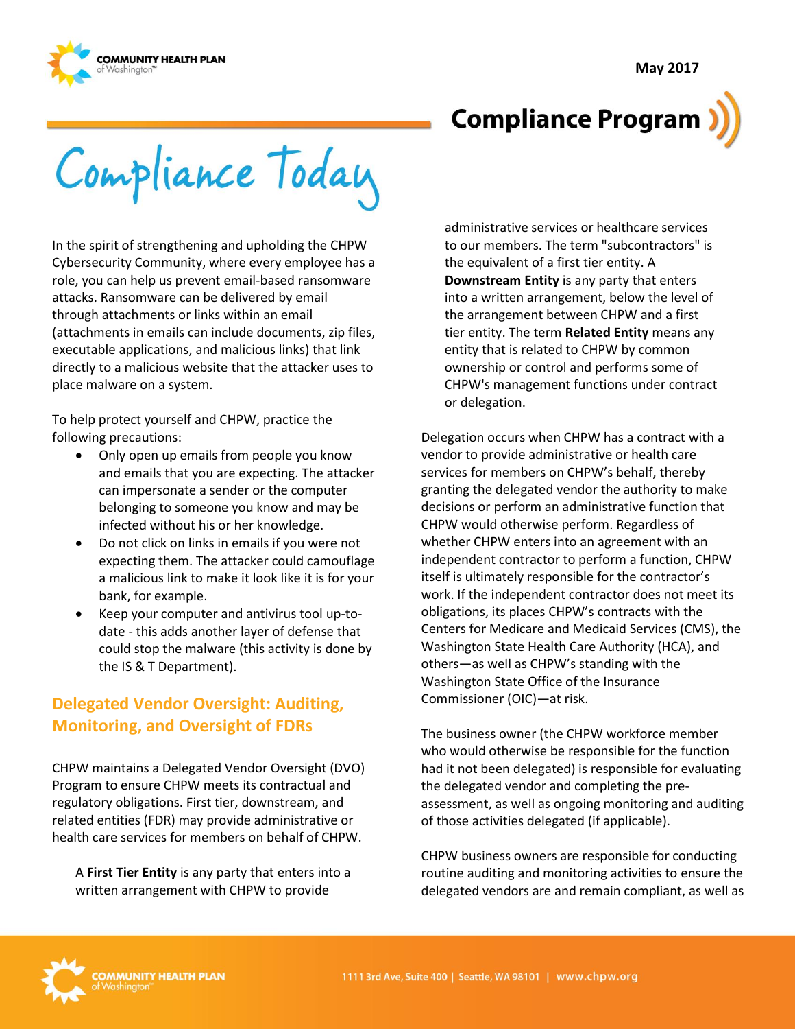



# **Compliance Program**

Compliance Today

In the spirit of strengthening and upholding the CHPW Cybersecurity Community, where every employee has a role, you can help us prevent email-based ransomware attacks. Ransomware can be delivered by email through attachments or links within an email (attachments in emails can include documents, zip files, executable applications, and malicious links) that link directly to a malicious website that the attacker uses to place malware on a system.

To help protect yourself and CHPW, practice the following precautions:

- Only open up emails from people you know and emails that you are expecting. The attacker can impersonate a sender or the computer belonging to someone you know and may be infected without his or her knowledge.
- Do not click on links in emails if you were not expecting them. The attacker could camouflage a malicious link to make it look like it is for your bank, for example.
- Keep your computer and antivirus tool up-todate - this adds another layer of defense that could stop the malware (this activity is done by the IS & T Department).

# **Delegated Vendor Oversight: Auditing, Monitoring, and Oversight of FDRs**

CHPW maintains a Delegated Vendor Oversight (DVO) Program to ensure CHPW meets its contractual and regulatory obligations. First tier, downstream, and related entities (FDR) may provide administrative or health care services for members on behalf of CHPW.

A **First Tier Entity** is any party that enters into a written arrangement with CHPW to provide

administrative services or healthcare services to our members. The term "subcontractors" is the equivalent of a first tier entity. A **Downstream Entity** is any party that enters into a written arrangement, below the level of the arrangement between CHPW and a first tier entity. The term **Related Entity** means any entity that is related to CHPW by common ownership or control and performs some of CHPW's management functions under contract or delegation.

Delegation occurs when CHPW has a contract with a vendor to provide administrative or health care services for members on CHPW's behalf, thereby granting the delegated vendor the authority to make decisions or perform an administrative function that CHPW would otherwise perform. Regardless of whether CHPW enters into an agreement with an independent contractor to perform a function, CHPW itself is ultimately responsible for the contractor's work. If the independent contractor does not meet its obligations, its places CHPW's contracts with the Centers for Medicare and Medicaid Services (CMS), the Washington State Health Care Authority (HCA), and others—as well as CHPW's standing with the Washington State Office of the Insurance Commissioner (OIC)—at risk.

The business owner (the CHPW workforce member who would otherwise be responsible for the function had it not been delegated) is responsible for evaluating the delegated vendor and completing the preassessment, as well as ongoing monitoring and auditing of those activities delegated (if applicable).

CHPW business owners are responsible for conducting routine auditing and monitoring activities to ensure the delegated vendors are and remain compliant, as well as

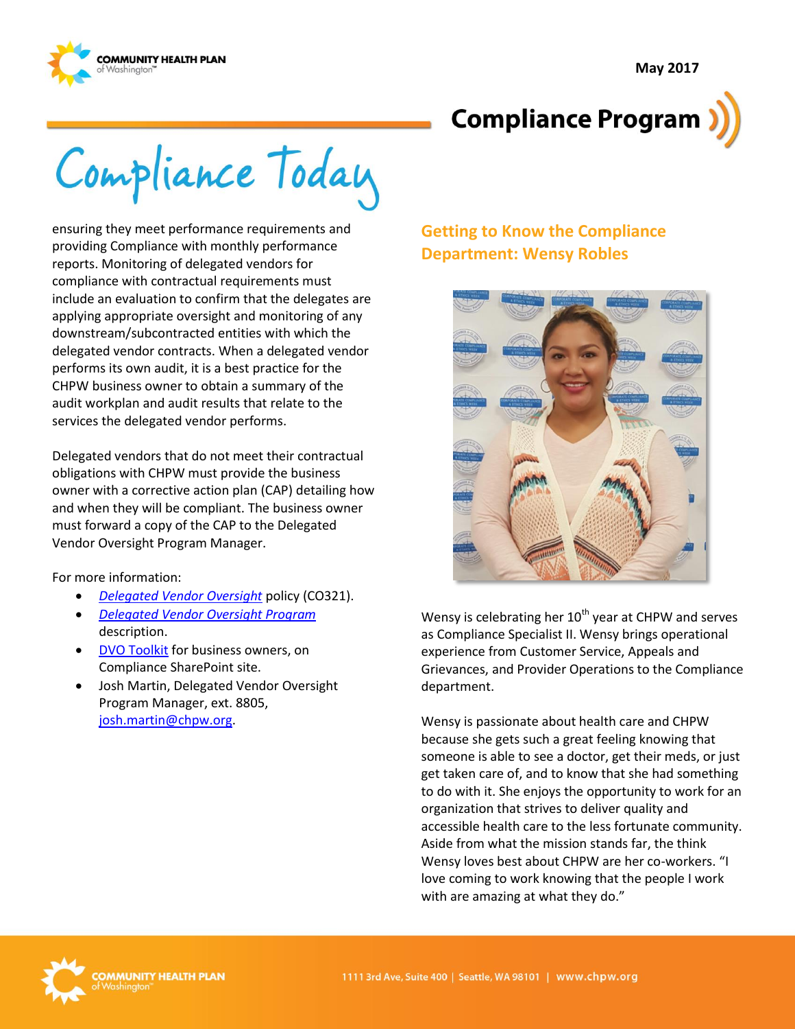



Compliance Today

ensuring they meet performance requirements and providing Compliance with monthly performance reports. Monitoring of delegated vendors for compliance with contractual requirements must include an evaluation to confirm that the delegates are applying appropriate oversight and monitoring of any downstream/subcontracted entities with which the delegated vendor contracts. When a delegated vendor performs its own audit, it is a best practice for the CHPW business owner to obtain a summary of the audit workplan and audit results that relate to the services the delegated vendor performs.

Delegated vendors that do not meet their contractual obligations with CHPW must provide the business owner with a corrective action plan (CAP) detailing how and when they will be compliant. The business owner must forward a copy of the CAP to the Delegated Vendor Oversight Program Manager.

For more information:

- *[Delegated Vendor Oversight](http://chpsp/PP/Compliance/Delegated%20Vendor%20Oversight%20Policy%20-%20CO321.pdf)* policy (CO321).
- *[Delegated Vendor Oversight Program](http://chpsp/PP/Compliance/Delegated%20Vendor%20Oversight%20Program%20Description%20-%20CO-PROG5.pdf)* description.
- [DVO Toolkit](http://chpsp/Comp/DVO%20Toolkit/Forms/AllItems.aspx) for business owners, on Compliance SharePoint site.
- Josh Martin, Delegated Vendor Oversight Program Manager, ext. 8805, [josh.martin@chpw.org.](mailto:josh.martin@chpw.org)

### **Getting to Know the Compliance Department: Wensy Robles**



Wensy is celebrating her  $10^{th}$  year at CHPW and serves as Compliance Specialist II. Wensy brings operational experience from Customer Service, Appeals and Grievances, and Provider Operations to the Compliance department.

Wensy is passionate about health care and CHPW because she gets such a great feeling knowing that someone is able to see a doctor, get their meds, or just get taken care of, and to know that she had something to do with it. She enjoys the opportunity to work for an organization that strives to deliver quality and accessible health care to the less fortunate community. Aside from what the mission stands far, the think Wensy loves best about CHPW are her co-workers. "I love coming to work knowing that the people I work with are amazing at what they do."

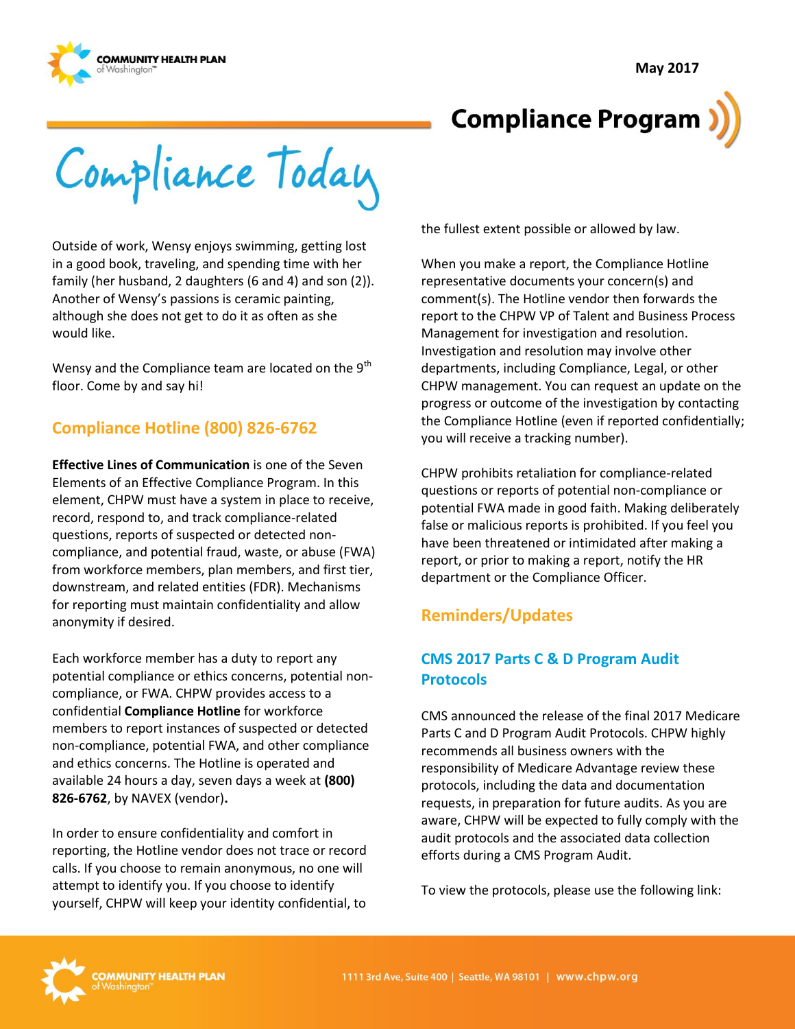



# **Compliance Program**

Compliance Today

Outside of work, Wensy enjoys swimming, getting lost in a good book, traveling, and spending time with her family (her husband, 2 daughters (6 and 4) and son (2)). Another of Wensy's passions is ceramic painting, although she does not get to do it as often as she would like.

Wensy and the Compliance team are located on the 9<sup>th</sup> floor. Come by and say hi!

# **Compliance Hotline (800) 826-6762**

**Effective Lines of Communication** is one of the Seven Elements of an Effective Compliance Program. In this element, CHPW must have a system in place to receive, record, respond to, and track compliance-related questions, reports of suspected or detected noncompliance, and potential fraud, waste, or abuse (FWA) from workforce members, plan members, and first tier, downstream, and related entities (FDR). Mechanisms for reporting must maintain confidentiality and allow anonymity if desired.

Each workforce member has a duty to report any potential compliance or ethics concerns, potential noncompliance, or FWA. CHPW provides access to a confidential **Compliance Hotline** for workforce members to report instances of suspected or detected non-compliance, potential FWA, and other compliance and ethics concerns. The Hotline is operated and available 24 hours a day, seven days a week at **(800) 826-6762**, by NAVEX (vendor)**.**

In order to ensure confidentiality and comfort in reporting, the Hotline vendor does not trace or record calls. If you choose to remain anonymous, no one will attempt to identify you. If you choose to identify yourself, CHPW will keep your identity confidential, to

the fullest extent possible or allowed by law.

When you make a report, the Compliance Hotline representative documents your concern(s) and comment(s). The Hotline vendor then forwards the report to the CHPW VP of Talent and Business Process Management for investigation and resolution. Investigation and resolution may involve other departments, including Compliance, Legal, or other CHPW management. You can request an update on the progress or outcome of the investigation by contacting the Compliance Hotline (even if reported confidentially; you will receive a tracking number).

CHPW prohibits retaliation for compliance-related questions or reports of potential non-compliance or potential FWA made in good faith. Making deliberately false or malicious reports is prohibited. If you feel you have been threatened or intimidated after making a report, or prior to making a report, notify the HR department or the Compliance Officer.

### **Reminders/Updates**

### **CMS 2017 Parts C & D Program Audit Protocols**

CMS announced the release of the final 2017 Medicare Parts C and D Program Audit Protocols. CHPW highly recommends all business owners with the responsibility of Medicare Advantage review these protocols, including the data and documentation requests, in preparation for future audits. As you are aware, CHPW will be expected to fully comply with the audit protocols and the associated data collection efforts during a CMS Program Audit.

To view the protocols, please use the following link: